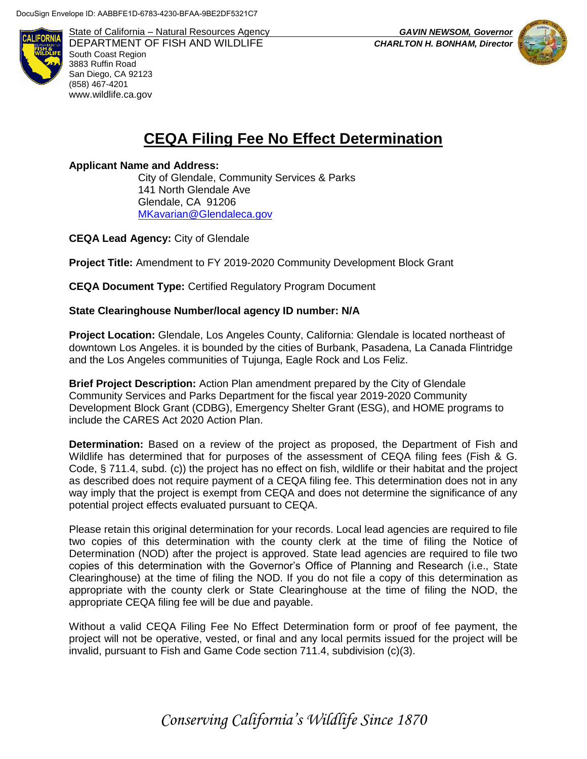

State of California – Natural Resources Agency *GAVIN NEWSOM, Governor* DEPARTMENT OF FISH AND WILDLIFE *CHARLTON H. BONHAM, Director*  South Coast Region 3883 Ruffin Road San Diego, CA 92123 (858) 467-4201 [www.wildlife.ca.gov](http://www.wildlife.ca.gov/)



## **CEQA Filing Fee No Effect Determination**

**Applicant Name and Address:**

City of Glendale, Community Services & Parks 141 North Glendale Ave Glendale, CA 91206 [MKavarian@Glendaleca.gov](mailto:MKavarian@Glendaleca.gov)

**CEQA Lead Agency:** City of Glendale

**Project Title:** Amendment to FY 2019-2020 Community Development Block Grant

**CEQA Document Type:** Certified Regulatory Program Document

## **State Clearinghouse Number/local agency ID number: N/A**

**Project Location:** Glendale, Los Angeles County, California: Glendale is located northeast of downtown Los Angeles. it is bounded by the cities of Burbank, Pasadena, La Canada Flintridge and the Los Angeles communities of Tujunga, Eagle Rock and Los Feliz.

**Brief Project Description:** Action Plan amendment prepared by the City of Glendale Community Services and Parks Department for the fiscal year 2019-2020 Community Development Block Grant (CDBG), Emergency Shelter Grant (ESG), and HOME programs to include the CARES Act 2020 Action Plan.

**Determination:** Based on a review of the project as proposed, the Department of Fish and Wildlife has determined that for purposes of the assessment of CEQA filing fees (Fish & G. Code, § 711.4, subd. (c)) the project has no effect on fish, wildlife or their habitat and the project as described does not require payment of a CEQA filing fee. This determination does not in any way imply that the project is exempt from CEQA and does not determine the significance of any potential project effects evaluated pursuant to CEQA.

Please retain this original determination for your records. Local lead agencies are required to file two copies of this determination with the county clerk at the time of filing the Notice of Determination (NOD) after the project is approved. State lead agencies are required to file two copies of this determination with the Governor's Office of Planning and Research (i.e., State Clearinghouse) at the time of filing the NOD. If you do not file a copy of this determination as appropriate with the county clerk or State Clearinghouse at the time of filing the NOD, the appropriate CEQA filing fee will be due and payable.

Without a valid CEQA Filing Fee No Effect Determination form or proof of fee payment, the project will not be operative, vested, or final and any local permits issued for the project will be invalid, pursuant to Fish and Game Code section 711.4, subdivision (c)(3).

*Conserving California's Wildlife Since 1870*